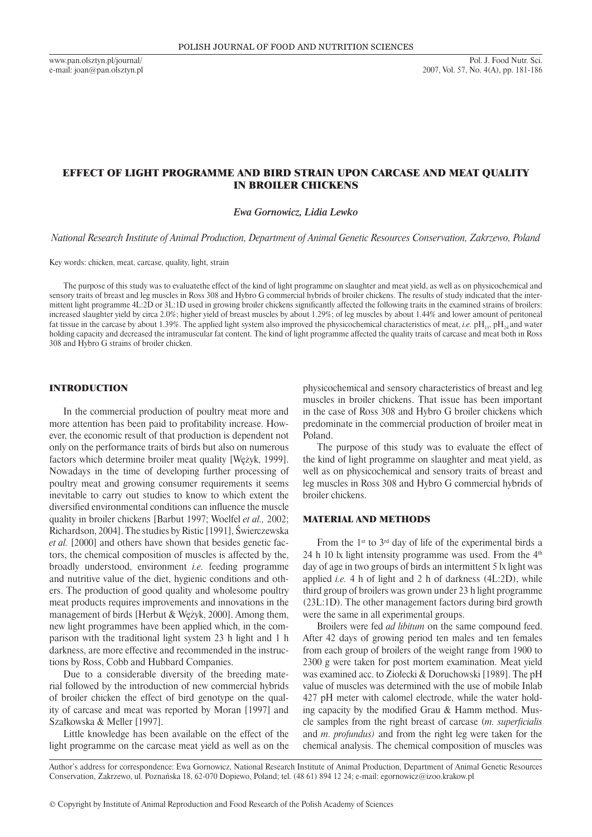www.pan.olsztyn.pl/journal/ e-mail: joan@pan.olsztyn.pl

# EFFECT OF LIGHT PROGRAMME AND BIRD STRAIN UPON CARCASE AND MEAT QUALITY IN BROILER CHICKENS

*Ewa Gornowicz, Lidia Lewko*

*National Research Institute of Animal Production, Department of Animal Genetic Resources Conservation, Zakrzewo, Poland*

Key words: chicken, meat, carcase, quality, light, strain

The purpose of this study was to evaluatethe effect of the kind of light programme on slaughter and meat yield, as well as on physicochemical and sensory traits of breast and leg muscles in Ross 308 and Hybro G commercial hybrids of broiler chickens. The results of study indicated that the intermittent light programme 4L:2D or 3L:1D used in growing broiler chickens significantly affected the following traits in the examined strains of broilers: increased slaughter yield by circa 2.0%; higher yield of breast muscles by about 1.29%; of leg muscles by about 1.44% and lower amount of peritoneal fat tissue in the carcase by about 1.39%. The applied light system also improved the physicochemical characteristics of meat, *i.e.* pH<sub>15</sub>, pH<sub>24</sub> and water holding capacity and decreased the intramuscular fat content. The kind of light programme affected the quality traits of carcase and meat both in Ross 308 and Hybro G strains of broiler chicken.

## INTRODUCTION

In the commercial production of poultry meat more and more attention has been paid to profitability increase. However, the economic result of that production is dependent not only on the performance traits of birds but also on numerous factors which determine broiler meat quality [Wężyk, 1999]. Nowadays in the time of developing further processing of poultry meat and growing consumer requirements it seems inevitable to carry out studies to know to which extent the diversified environmental conditions can influence the muscle quality in broiler chickens [Barbut 1997; Woelfel *et al.,* 2002; Richardson, 2004]. The studies by Ristic [1991], Świerczewska *et al.* [2000] and others have shown that besides genetic factors, the chemical composition of muscles is affected by the, broadly understood, environment *i.e.* feeding programme and nutritive value of the diet, hygienic conditions and others. The production of good quality and wholesome poultry meat products requires improvements and innovations in the management of birds [Herbut & Wężyk, 2000]. Among them, new light programmes have been applied which, in the comparison with the traditional light system 23 h light and 1 h darkness, are more effective and recommended in the instructions by Ross, Cobb and Hubbard Companies.

Due to a considerable diversity of the breeding material followed by the introduction of new commercial hybrids of broiler chicken the effect of bird genotype on the quality of carcase and meat was reported by Moran [1997] and Szałkowska & Meller [1997].

Little knowledge has been available on the effect of the light programme on the carcase meat yield as well as on the

physicochemical and sensory characteristics of breast and leg muscles in broiler chickens. That issue has been important in the case of Ross 308 and Hybro G broiler chickens which predominate in the commercial production of broiler meat in Poland.

The purpose of this study was to evaluate the effect of the kind of light programme on slaughter and meat yield, as well as on physicochemical and sensory traits of breast and leg muscles in Ross 308 and Hybro G commercial hybrids of broiler chickens.

### MATERIAL AND METHODS

From the  $1<sup>st</sup>$  to  $3<sup>rd</sup>$  day of life of the experimental birds a 24 h 10 lx light intensity programme was used. From the  $4<sup>th</sup>$ day of age in two groups of birds an intermittent 5 lx light was applied *i.e.* 4 h of light and 2 h of darkness (4L:2D), while third group of broilers was grown under 23 h light programme (23L:1D). The other management factors during bird growth were the same in all experimental groups.

Broilers were fed *ad libitum* on the same compound feed. After 42 days of growing period ten males and ten females from each group of broilers of the weight range from 1900 to 2300 g were taken for post mortem examination. Meat yield was examined acc. to Ziołecki & Doruchowski [1989]. The pH value of muscles was determined with the use of mobile Inlab 427 pH meter with calomel electrode, while the water holding capacity by the modified Grau & Hamm method. Muscle samples from the right breast of carcase (*m. superficialis*  and *m. profundus)* and from the right leg were taken for the chemical analysis. The chemical composition of muscles was

Author's address for correspondence: Ewa Gornowicz, National Research Institute of Animal Production, Department of Animal Genetic Resources Conservation, Zakrzewo, ul. Poznańska 18, 62-070 Dopiewo, Poland; tel. (48 61) 894 12 24; e-mail: egornowicz@izoo.krakow.pl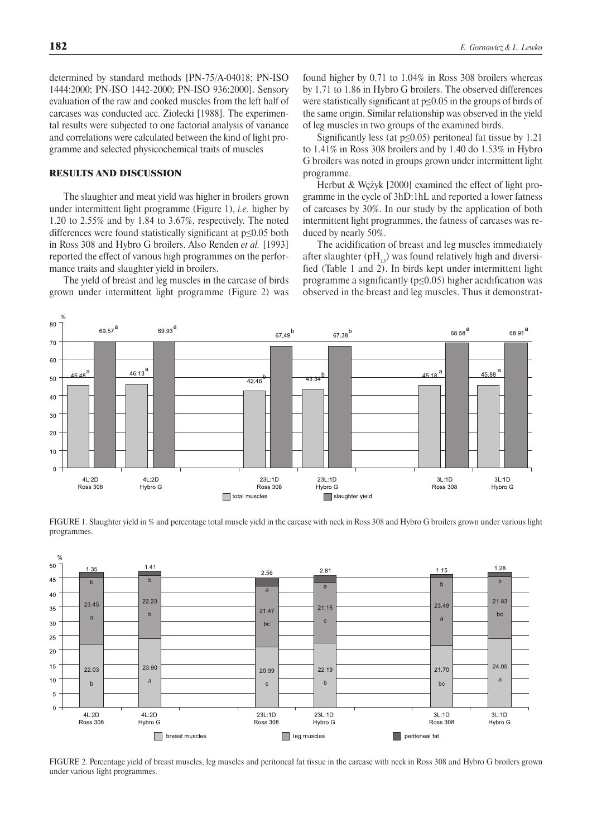determined by standard methods [PN-75/A-04018; PN-ISO 1444:2000; PN-ISO 1442-2000; PN-ISO 936:2000]. Sensory evaluation of the raw and cooked muscles from the left half of carcases was conducted acc. Ziołecki [1988]. The experimental results were subjected to one factorial analysis of variance and correlations were calculated between the kind of light programme and selected physicochemical traits of muscles

## RESULTS AND DISCUSSION

The slaughter and meat yield was higher in broilers grown under intermittent light programme (Figure 1), *i.e.* higher by 1.20 to 2.55% and by 1.84 to 3.67%, respectively. The noted differences were found statistically significant at p≤0.05 both in Ross 308 and Hybro G broilers. Also Renden *et al.* [1993] reported the effect of various high programmes on the performance traits and slaughter yield in broilers.

The yield of breast and leg muscles in the carcase of birds grown under intermittent light programme (Figure 2) was

found higher by 0.71 to 1.04% in Ross 308 broilers whereas by 1.71 to 1.86 in Hybro G broilers. The observed differences were statistically significant at p≤0.05 in the groups of birds of the same origin. Similar relationship was observed in the yield of leg muscles in two groups of the examined birds.

Significantly less (at  $p \le 0.05$ ) peritoneal fat tissue by 1.21 to 1.41% in Ross 308 broilers and by 1.40 do 1.53% in Hybro G broilers was noted in groups grown under intermittent light programme.

Herbut & Wężyk [2000] examined the effect of light programme in the cycle of 3hD:1hL and reported a lower fatness of carcases by 30%. In our study by the application of both intermittent light programmes, the fatness of carcases was reduced by nearly 50%.

The acidification of breast and leg muscles immediately after slaughter ( $pH_{15}$ ) was found relatively high and diversified (Table 1 and 2). In birds kept under intermittent light programme a significantly ( $p \le 0.05$ ) higher acidification was observed in the breast and leg muscles. Thus it demonstrat-



FIGURE 1. Slaughter yield in % and percentage total muscle yield in the carcase with neck in Ross 308 and Hybro G broilers grown under various light programmes.



FIGURE 2. Percentage yield of breast muscles, leg muscles and peritoneal fat tissue in the carcase with neck in Ross 308 and Hybro G broilers grown under various light programmes.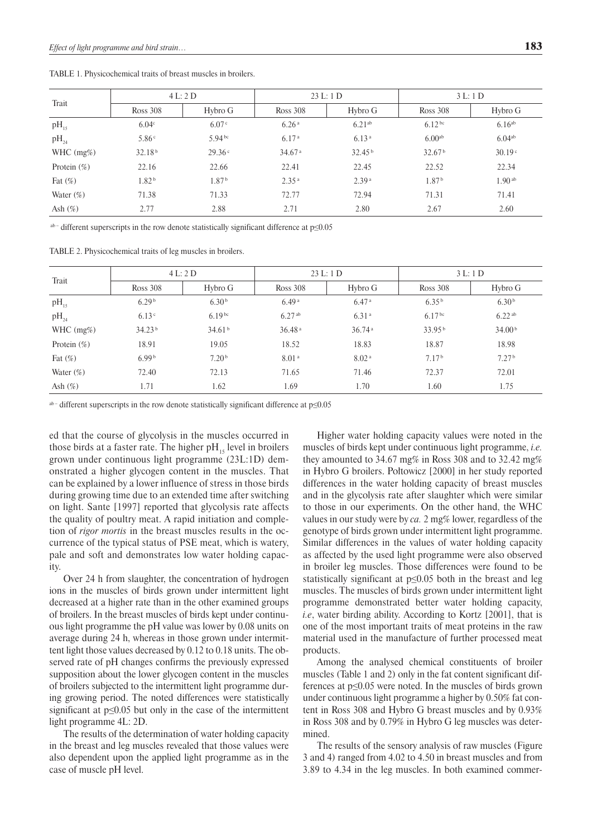| Trait          | 4 L: 2 D           |                   | 23 L: 1 D          |                    | 3 L: 1 D           |                    |
|----------------|--------------------|-------------------|--------------------|--------------------|--------------------|--------------------|
|                | Ross 308           | Hybro G           | Ross 308           | Hybro G            | Ross 308           | Hybro G            |
| $pH_{15}$      | 6.04 <sup>c</sup>  | 6.07c             | 6.26 <sup>a</sup>  | 6.21 <sup>ab</sup> | 6.12 <sup>bc</sup> | $6.16^{ab}$        |
| $pH_{24}$      | 5.86 <sup>c</sup>  | $5.94^{bc}$       | 6.17 <sup>a</sup>  | 6.13 <sup>a</sup>  | 6.00 <sup>ab</sup> | $6.04^{ab}$        |
| WHC $(mg\%)$   | 32.18 <sup>b</sup> | 29.36c            | 34.67 <sup>a</sup> | 32.45 <sup>b</sup> | 32.67 <sup>b</sup> | 30.19 <sup>c</sup> |
| Protein $(\%)$ | 22.16              | 22.66             | 22.41              | 22.45              | 22.52              | 22.34              |
| Fat $(\%)$     | 1.82 <sup>b</sup>  | 1.87 <sup>b</sup> | 2.35 <sup>a</sup>  | 2.39 <sup>a</sup>  | 1.87 <sup>b</sup>  | $1.90^{ab}$        |
| Water $(\%)$   | 71.38              | 71.33             | 72.77              | 72.94              | 71.31              | 71.41              |
| Ash $(\%)$     | 2.77               | 2.88              | 2.71               | 2.80               | 2.67               | 2.60               |

TABLE 1. Physicochemical traits of breast muscles in broilers.

ab-different superscripts in the row denote statistically significant difference at p≤0.05

TABLE 2. Physicochemical traits of leg muscles in broilers.

| Trait          | 4 L: 2 D           |                    | 23 L: 1 D            |                   | 3 L: 1 D           |                    |
|----------------|--------------------|--------------------|----------------------|-------------------|--------------------|--------------------|
|                | Ross 308           | Hybro G            | Ross 308             | Hybro G           | Ross 308           | Hybro G            |
| $pH_{15}$      | 6.29 <sup>b</sup>  | 6.30 <sup>b</sup>  | 6.49a                | 6.47a             | 6.35 <sup>b</sup>  | 6.30 <sup>b</sup>  |
| $pH_{24}$      | 6.13 <sup>c</sup>  | 6.19 <sup>bc</sup> | $6.27$ <sup>ab</sup> | 6.31 <sup>a</sup> | 6.17 <sup>bc</sup> | $6.22^{ab}$        |
| WHC $(mg\%)$   | 34.23 <sup>b</sup> | 34.61 <sup>b</sup> | 36.48a               | 36.74a            | 33.95 <sup>b</sup> | 34.00 <sup>b</sup> |
| Protein $(\%)$ | 18.91              | 19.05              | 18.52                | 18.83             | 18.87              | 18.98              |
| Fat $(\%)$     | 6.99 <sup>b</sup>  | 7.20 <sup>b</sup>  | 8.01 <sup>a</sup>    | 8.02 <sup>a</sup> | 7.17 <sup>b</sup>  | 7.27 <sup>b</sup>  |
| Water $(\%)$   | 72.40              | 72.13              | 71.65                | 71.46             | 72.37              | 72.01              |
| Ash $(\%)$     | 1.71               | 1.62               | 1.69                 | 1.70              | 1.60               | 1.75               |

ab-different superscripts in the row denote statistically significant difference at p≤0.05

ed that the course of glycolysis in the muscles occurred in those birds at a faster rate. The higher  $pH_{15}$  level in broilers grown under continuous light programme (23L:1D) demonstrated a higher glycogen content in the muscles. That can be explained by a lower influence of stress in those birds during growing time due to an extended time after switching on light. Sante [1997] reported that glycolysis rate affects the quality of poultry meat. A rapid initiation and completion of *rigor mortis* in the breast muscles results in the occurrence of the typical status of PSE meat, which is watery, pale and soft and demonstrates low water holding capacity.

Over 24 h from slaughter, the concentration of hydrogen ions in the muscles of birds grown under intermittent light decreased at a higher rate than in the other examined groups of broilers. In the breast muscles of birds kept under continuous light programme the pH value was lower by 0.08 units on average during 24 h, whereas in those grown under intermittent light those values decreased by 0.12 to 0.18 units. The observed rate of pH changes confirms the previously expressed supposition about the lower glycogen content in the muscles of broilers subjected to the intermittent light programme during growing period. The noted differences were statistically significant at p≤0.05 but only in the case of the intermittent light programme 4L: 2D.

The results of the determination of water holding capacity in the breast and leg muscles revealed that those values were also dependent upon the applied light programme as in the case of muscle pH level.

Higher water holding capacity values were noted in the muscles of birds kept under continuous light programme, *i.e.* they amounted to 34.67 mg% in Ross 308 and to 32.42 mg% in Hybro G broilers. Połtowicz [2000] in her study reported differences in the water holding capacity of breast muscles and in the glycolysis rate after slaughter which were similar to those in our experiments. On the other hand, the WHC values in our study were by *ca.* 2 mg% lower, regardless of the genotype of birds grown under intermittent light programme. Similar differences in the values of water holding capacity as affected by the used light programme were also observed in broiler leg muscles. Those differences were found to be statistically significant at p≤0.05 both in the breast and leg muscles. The muscles of birds grown under intermittent light programme demonstrated better water holding capacity, *i.e*, water birding ability. According to Kortz [2001], that is one of the most important traits of meat proteins in the raw material used in the manufacture of further processed meat products.

Among the analysed chemical constituents of broiler muscles (Table 1 and 2) only in the fat content significant differences at p≤0.05 were noted. In the muscles of birds grown under continuous light programme a higher by 0.50% fat content in Ross 308 and Hybro G breast muscles and by 0.93% in Ross 308 and by 0.79% in Hybro G leg muscles was determined.

The results of the sensory analysis of raw muscles (Figure 3 and 4) ranged from 4.02 to 4.50 in breast muscles and from 3.89 to 4.34 in the leg muscles. In both examined commer-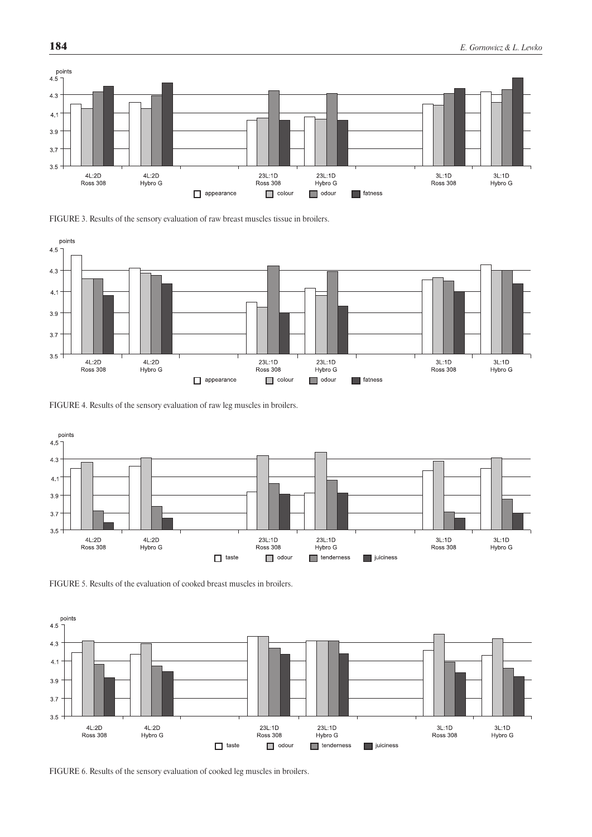





FIGURE 4. Results of the sensory evaluation of raw leg muscles in broilers.







FIGURE 6. Results of the sensory evaluation of cooked leg muscles in broilers.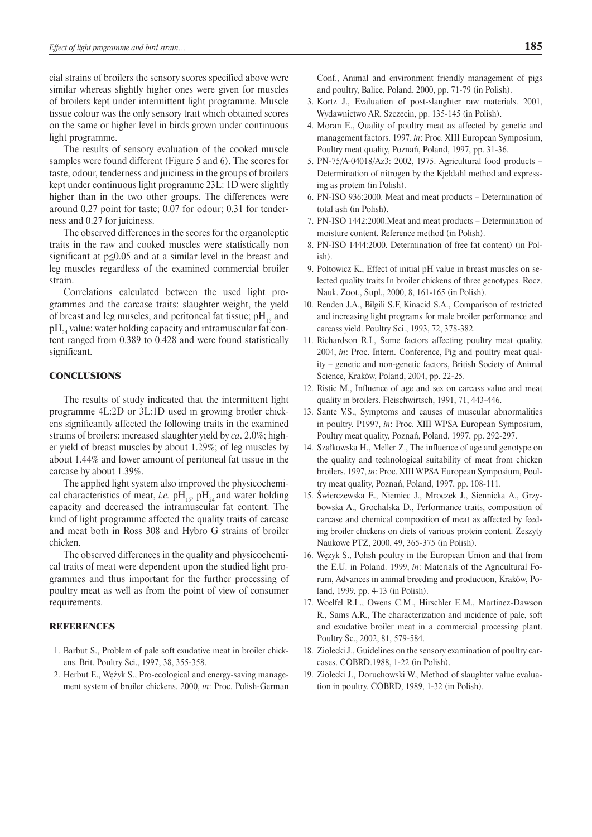cial strains of broilers the sensory scores specified above were similar whereas slightly higher ones were given for muscles of broilers kept under intermittent light programme. Muscle tissue colour was the only sensory trait which obtained scores on the same or higher level in birds grown under continuous light programme.

The results of sensory evaluation of the cooked muscle samples were found different (Figure 5 and 6). The scores for taste, odour, tenderness and juiciness in the groups of broilers kept under continuous light programme 23L: 1D were slightly higher than in the two other groups. The differences were around 0.27 point for taste; 0.07 for odour; 0.31 for tenderness and 0.27 for juiciness.

The observed differences in the scores for the organoleptic traits in the raw and cooked muscles were statistically non significant at p≤0.05 and at a similar level in the breast and leg muscles regardless of the examined commercial broiler strain.

Correlations calculated between the used light programmes and the carcase traits: slaughter weight, the yield of breast and leg muscles, and peritoneal fat tissue;  $pH_{15}$  and  $pH<sub>24</sub>$  value; water holding capacity and intramuscular fat content ranged from 0.389 to 0.428 and were found statistically significant.

#### **CONCLUSIONS**

The results of study indicated that the intermittent light programme 4L:2D or 3L:1D used in growing broiler chickens significantly affected the following traits in the examined strains of broilers: increased slaughter yield by *ca*. 2.0%; higher yield of breast muscles by about 1.29%; of leg muscles by about 1.44% and lower amount of peritoneal fat tissue in the carcase by about 1.39%.

The applied light system also improved the physicochemical characteristics of meat, *i.e.*  $pH_{15}$ ,  $pH_{24}$  and water holding capacity and decreased the intramuscular fat content. The kind of light programme affected the quality traits of carcase and meat both in Ross 308 and Hybro G strains of broiler chicken.

The observed differences in the quality and physicochemical traits of meat were dependent upon the studied light programmes and thus important for the further processing of poultry meat as well as from the point of view of consumer requirements.

### REFERENCES

- 1. Barbut S., Problem of pale soft exudative meat in broiler chickens. Brit. Poultry Sci., 1997, 38, 355-358.
- 2. Herbut E., Wężyk S., Pro-ecological and energy-saving management system of broiler chickens. 2000, *in*: Proc. Polish-German

Conf., Animal and environment friendly management of pigs and poultry, Balice, Poland, 2000, pp. 71-79 (in Polish).

- 3. Kortz J., Evaluation of post-slaughter raw materials. 2001, Wydawnictwo AR, Szczecin, pp. 135-145 (in Polish).
- 4. Moran E., Quality of poultry meat as affected by genetic and management factors. 1997, *in*: Proc. XIII European Symposium, Poultry meat quality, Poznań, Poland, 1997, pp. 31-36.
- 5. PN-75/A-04018/Az3: 2002, 1975. Agricultural food products Determination of nitrogen by the Kjeldahl method and expressing as protein (in Polish).
- 6. PN-ISO 936:2000. Meat and meat products Determination of total ash (in Polish).
- 7. PN-ISO 1442:2000.Meat and meat products Determination of moisture content. Reference method (in Polish).
- 8. PN-ISO 1444:2000. Determination of free fat content) (in Polish).
- 9. Połtowicz K., Effect of initial pH value in breast muscles on selected quality traits In broiler chickens of three genotypes. Rocz. Nauk. Zoot., Supl., 2000, 8, 161-165 (in Polish).
- 10. Renden J.A., Bilgili S.F, Kinacid S.A., Comparison of restricted and increasing light programs for male broiler performance and carcass yield. Poultry Sci., 1993, 72, 378-382.
- 11. Richardson R.I., Some factors affecting poultry meat quality. 2004, *in*: Proc. Intern. Conference, Pig and poultry meat quality – genetic and non-genetic factors, British Society of Animal Science, Kraków, Poland, 2004, pp. 22-25.
- 12. Ristic M., Influence of age and sex on carcass value and meat quality in broilers. Fleischwirtsch, 1991, 71, 443-446.
- 13. Sante V.S., Symptoms and causes of muscular abnormalities in poultry. P1997, *in*: Proc. XIII WPSA European Symposium, Poultry meat quality, Poznań, Poland, 1997, pp. 292-297.
- 14. Szałkowska H., Meller Z., The influence of age and genotype on the quality and technological suitability of meat from chicken broilers. 1997, *in*: Proc. XIII WPSA European Symposium, Poultry meat quality, Poznań, Poland, 1997, pp. 108-111.
- 15. Świerczewska E., Niemiec J., Mroczek J., Siennicka A., Grzybowska A., Grochalska D., Performance traits, composition of carcase and chemical composition of meat as affected by feeding broiler chickens on diets of various protein content. Zeszyty Naukowe PTZ, 2000, 49, 365-375 (in Polish).
- 16. Wężyk S., Polish poultry in the European Union and that from the E.U. in Poland. 1999, *in*: Materials of the Agricultural Forum, Advances in animal breeding and production, Kraków, Poland, 1999, pp. 4-13 (in Polish).
- 17. Woelfel R.L., Owens C.M., Hirschler E.M., Martinez-Dawson R., Sams A.R., The characterization and incidence of pale, soft and exudative broiler meat in a commercial processing plant. Poultry Sc., 2002, 81, 579-584.
- 18. Ziołecki J., Guidelines on the sensory examination of poultry carcases. COBRD.1988, 1-22 (in Polish).
- 19. Ziołecki J., Doruchowski W., Method of slaughter value evaluation in poultry. COBRD, 1989, 1-32 (in Polish).